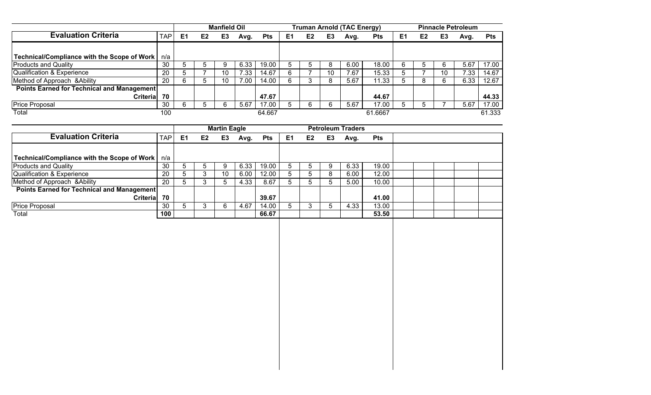|                                             |                  |                |                | <b>Manfield Oil</b> |      |            |                |                |                | Truman Arnold (TAC Energy) |            |                |                |    | <b>Pinnacle Petroleum</b> |            |
|---------------------------------------------|------------------|----------------|----------------|---------------------|------|------------|----------------|----------------|----------------|----------------------------|------------|----------------|----------------|----|---------------------------|------------|
| <b>Evaluation Criteria</b>                  | TAP <sub>1</sub> | E <sub>1</sub> | E <sub>2</sub> | E <sub>3</sub>      | Avg. | <b>Pts</b> | E <sub>1</sub> | E <sub>2</sub> | E <sub>3</sub> | Avg.                       | <b>Pts</b> | E <sub>1</sub> | E <sub>2</sub> | E3 | Avg.                      | <b>Pts</b> |
|                                             |                  |                |                |                     |      |            |                |                |                |                            |            |                |                |    |                           |            |
| Technical/Compliance with the Scope of Work | n/a              |                |                |                     |      |            |                |                |                |                            |            |                |                |    |                           |            |
| <b>Products and Quality</b>                 | 30               |                |                |                     | 6.33 | 19.00      |                | :5             | O              | 6.00                       | 18.00      | 6              |                |    | 5.67                      | 17.00      |
| <b>Qualification &amp; Experience</b>       | 20               | $\mathbf b$    |                | 10                  | 7.33 | 14.67      | h              |                | 10             | 7.67                       | 15.33      |                |                | 10 | 7.33                      | 14.67      |
| Method of Approach & Ability                | 20               | 6              |                | 10                  | 7.00 | 14.00      |                |                | ō              | 5.67                       | 11.33      |                |                |    | 6.33                      | 12.67      |
| Points Earned for Technical and Management  |                  |                |                |                     |      |            |                |                |                |                            |            |                |                |    |                           |            |
| <b>Criterial</b>                            | 70               |                |                |                     |      | 47.67      |                |                |                |                            | 44.67      |                |                |    |                           | 44.33      |
| <b>Price Proposal</b>                       | 30               |                |                |                     | 5.67 | 17.00      |                |                |                | 5.67                       | 17.00      |                |                |    | 5.67                      | 17.00      |
| Total                                       | 100              |                |                |                     |      | 64.667     |                |                |                |                            | 61.6667    |                |                |    |                           | 61.333     |

|                                                   |            |                |                | <b>Martin Eagle</b> |      |            |                |    |    | <b>Petroleum Traders</b> |            |  |  |  |
|---------------------------------------------------|------------|----------------|----------------|---------------------|------|------------|----------------|----|----|--------------------------|------------|--|--|--|
| <b>Evaluation Criteria</b>                        | <b>TAP</b> | E <sub>1</sub> | E <sub>2</sub> | E <sub>3</sub>      | Avg. | <b>Pts</b> | E <sub>1</sub> | E2 | E3 | Avg.                     | <b>Pts</b> |  |  |  |
|                                                   |            |                |                |                     |      |            |                |    |    |                          |            |  |  |  |
| Technical/Compliance with the Scope of Work       | n/a        |                |                |                     |      |            |                |    |    |                          |            |  |  |  |
| <b>Products and Quality</b>                       | 30         |                |                | 9                   | 6.33 | 19.00      |                |    |    | 6.33                     | 19.00      |  |  |  |
| Qualification & Experience                        | 20         |                |                | 10                  | 6.00 | 12.00      |                | h  | 8  | 6.00                     | 12.00      |  |  |  |
| Method of Approach & Ability                      | 20         |                |                |                     | 4.33 | 8.67       |                |    |    | 5.00                     | 10.00      |  |  |  |
| <b>Points Earned for Technical and Management</b> |            |                |                |                     |      |            |                |    |    |                          |            |  |  |  |
| <b>Criterial</b>                                  | 70         |                |                |                     |      | 39.67      |                |    |    |                          | 41.00      |  |  |  |
| <b>Price Proposal</b>                             | 30         |                |                |                     | 4.67 | 14.00      |                |    |    | 4.33                     | 13.00      |  |  |  |
| Total                                             | 100        |                |                |                     |      | 66.67      |                |    |    |                          | 53.50      |  |  |  |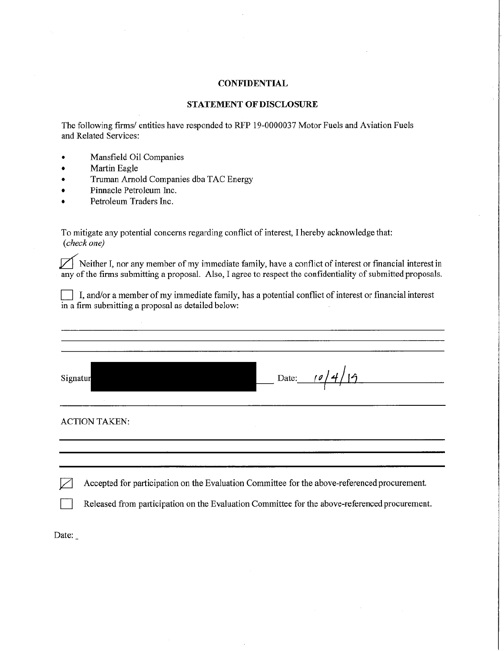# **STATEMENT OF DISCLOSURE**

The following firms/ entities have responded to RFP 19-0000037 Motor Fuels and Aviation Fuels and Related Services:

- Mansfield Oil Companies
- Martin Eagle
- Truman Arnold Companies dba TAC Energy
- Pinnacle Petroleum Inc.
- Petroleum Traders Inc.

To mitigate any potential concerns regarding conflict of interest, I hereby acknowledge that: (check one)

Neither I, nor any member of my immediate family, have a conflict of interest or financial interest in any of the firms submitting a proposal. Also, I agree to respect the confidentiality of submitted proposals.

I, and/or a member of my immediate family, has a potential conflict of interest or financial interest in a firm submitting a proposal as detailed below:

| Signatur             | Date: $10/4/19$ |
|----------------------|-----------------|
|                      |                 |
| <b>ACTION TAKEN:</b> |                 |

Accepted for participation on the Evaluation Committee for the above-referenced procurement.  $\sqrt{ }$ 

Released from participation on the Evaluation Committee for the above-referenced procurement.

Date: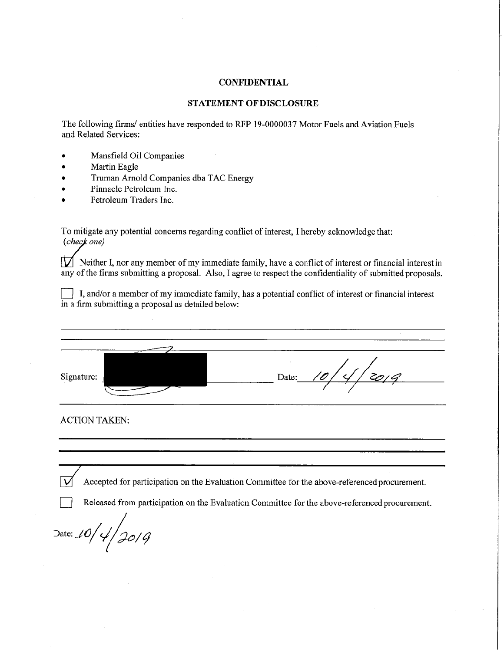### STATEMENT OF DISCLOSURE

The following firms/ entities have responded to RFP 19-0000037 Motor Fuels and Aviation Fuels and Related Services:

- Mansfield Oil Companies
- Martin Eagle
- Truman Arnold Companies dba TAC Energy
- Pinnacle Petroleum Inc.
- Petroleum Traders Inc.

To mitigate any potential concerns regarding conflict of interest, I hereby acknowledge that: (check one)

 $\boxed{V}$  Neither I, nor any member of my immediate family, have a conflict of interest or financial interest in any of the firms submitting a proposal. Also, I agree to respect the confidentiality of submitted proposals.

I, and/or a member of my immediate family, has a potential conflict of interest or financial interest in a firm submitting a proposal as detailed below:

Signature: Date: **ACTION TAKEN:** 

Accepted for participation on the Evaluation Committee for the above-referenced procurement.

Released from participation on the Evaluation Committee for the above-referenced procurement.

Date: 10/4/2019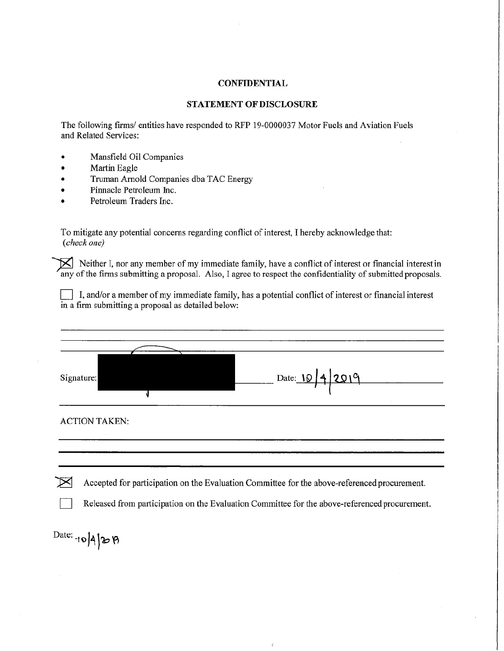# **STATEMENT OF DISCLOSURE**

The following firms/ entities have responded to RFP 19-0000037 Motor Fuels and Aviation Fuels and Related Services:

- Mansfield Oil Companies
- Martin Eagle
- Truman Arnold Companies dba TAC Energy
- Pinnacle Petroleum Inc.
- Petroleum Traders Inc.

To mitigate any potential concerns regarding conflict of interest, I hereby acknowledge that: (check one)

Neither I, nor any member of my immediate family, have a conflict of interest or financial interest in any of the firms submitting a proposal. Also, I agree to respect the confidentiality of submitted proposals.

I, and/or a member of my immediate family, has a potential conflict of interest or financial interest in a firm submitting a proposal as detailed below:

| Signature:           |  | Date: 10/4/2019 |  |
|----------------------|--|-----------------|--|
| <b>ACTION TAKEN:</b> |  |                 |  |
|                      |  |                 |  |

Accepted for participation on the Evaluation Committee for the above-referenced procurement.

Released from participation on the Evaluation Committee for the above-referenced procurement.

Date:  $\frac{1}{\sqrt{2}}$